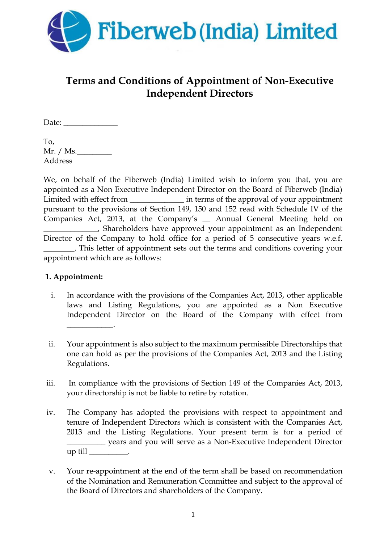

# **Terms and Conditions of Appointment of Non-Executive Independent Directors**

Date: \_\_\_\_\_\_\_\_\_\_\_\_\_\_

To,  $Mr. / Ms.$ Address

We, on behalf of the Fiberweb (India) Limited wish to inform you that, you are appointed as a Non Executive Independent Director on the Board of Fiberweb (India) Limited with effect from \_\_\_\_\_\_\_\_\_\_\_\_\_\_\_\_\_\_\_ in terms of the approval of your appointment pursuant to the provisions of Section 149, 150 and 152 read with Schedule IV of the Companies Act, 2013, at the Company's \_\_ Annual General Meeting held on \_\_\_\_\_\_\_\_\_\_\_\_\_\_, Shareholders have approved your appointment as an Independent Director of the Company to hold office for a period of 5 consecutive years w.e.f. \_\_\_\_\_\_\_\_. This letter of appointment sets out the terms and conditions covering your appointment which are as follows:

# **1. Appointment:**

- i. In accordance with the provisions of the Companies Act, 2013, other applicable laws and Listing Regulations, you are appointed as a Non Executive Independent Director on the Board of the Company with effect from \_\_\_\_\_\_\_\_\_\_\_\_.
- ii. Your appointment is also subject to the maximum permissible Directorships that one can hold as per the provisions of the Companies Act, 2013 and the Listing Regulations.
- iii. In compliance with the provisions of Section 149 of the Companies Act, 2013, your directorship is not be liable to retire by rotation.
- iv. The Company has adopted the provisions with respect to appointment and tenure of Independent Directors which is consistent with the Companies Act, 2013 and the Listing Regulations. Your present term is for a period of \_\_\_\_\_\_\_\_\_\_ years and you will serve as a Non-Executive Independent Director  $up$  till  $\rule{1em}{0.15mm}$ .
- v. Your re-appointment at the end of the term shall be based on recommendation of the Nomination and Remuneration Committee and subject to the approval of the Board of Directors and shareholders of the Company.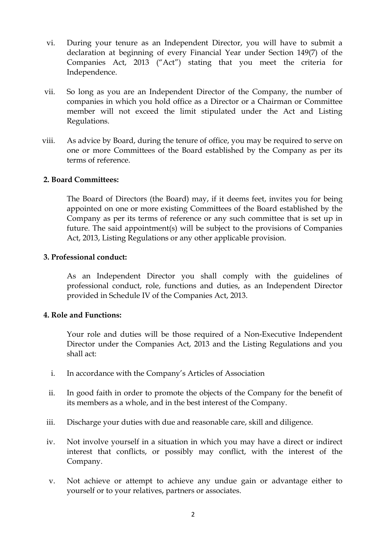- vi. During your tenure as an Independent Director, you will have to submit a declaration at beginning of every Financial Year under Section 149(7) of the Companies Act, 2013 ("Act") stating that you meet the criteria for Independence.
- vii. So long as you are an Independent Director of the Company, the number of companies in which you hold office as a Director or a Chairman or Committee member will not exceed the limit stipulated under the Act and Listing Regulations.
- viii. As advice by Board, during the tenure of office, you may be required to serve on one or more Committees of the Board established by the Company as per its terms of reference.

## **2. Board Committees:**

The Board of Directors (the Board) may, if it deems feet, invites you for being appointed on one or more existing Committees of the Board established by the Company as per its terms of reference or any such committee that is set up in future. The said appointment(s) will be subject to the provisions of Companies Act, 2013, Listing Regulations or any other applicable provision.

#### **3. Professional conduct:**

As an Independent Director you shall comply with the guidelines of professional conduct, role, functions and duties, as an Independent Director provided in Schedule IV of the Companies Act, 2013.

## **4. Role and Functions:**

Your role and duties will be those required of a Non-Executive Independent Director under the Companies Act, 2013 and the Listing Regulations and you shall act:

- i. In accordance with the Company's Articles of Association
- ii. In good faith in order to promote the objects of the Company for the benefit of its members as a whole, and in the best interest of the Company.
- iii. Discharge your duties with due and reasonable care, skill and diligence.
- iv. Not involve yourself in a situation in which you may have a direct or indirect interest that conflicts, or possibly may conflict, with the interest of the Company.
- v. Not achieve or attempt to achieve any undue gain or advantage either to yourself or to your relatives, partners or associates.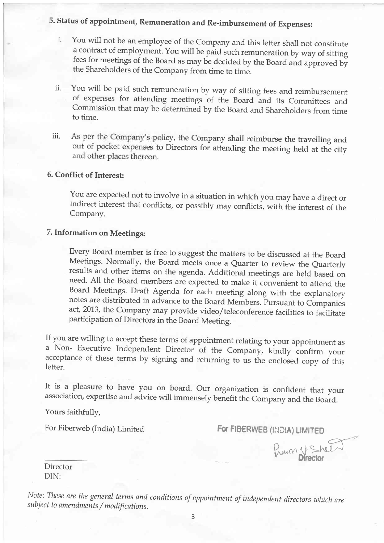5. status of appointment, Remuneration and Re-imbursement of Expenses:

- i. You will not be an employee of the Company and this letter shall not constitute <sup>a</sup>contract of employment. You will be paid such remuneration by way of sitting fees for meetings of the Board as may be decided by the Board and approved by the Shareholders of the Company from time to time.
- ii. You will be paid such remuneration by way of sitting fees and reimbursement of expenses for attending meetings of the Board and its Committees and Commission that may be determined by the Board and Shareholders from time to time.
- iii. As per the Company's policy, the Company shall reimburse the travelling and out of pocket expenses to Directors for attending the meeting held at the city and other places thereon.

## 6. Conflict of Interest:

You are expected not to involve in a situation in which you may have a direct or indirect interest that conflicts, or possibly may conflicts, with the interest of the Company.

## 7. Information on Meetings:

Every Board member is free to suggest the matters to be discussed at the Board results and other items on the agenda. Additional meetings are held based on need. All the Board members are expected to make it convenient to attend the Board Meetings. Draft Agenda for each meeting along with the explanatory notes are distributed in advance to the Board Members. Pursuant to Companies act,2013, the Company may provide video/teleconference facilities to facilitate participation of Directors in the Board Meeting.

If you are willing to accept these terms of appointment relating to your appointment as a Non- Executive Independent Director of the Company, kindly confirm your acceptance of these terms by signing and returning to us the enclosed copy of this letter.

It is a pleasure to have you on board. Our organization is confident that your association, expertise and advice will immensely benefit the Company and the Board.

Yours faithfully,

For Fiberweb (India) Limited For FIBERWEB (INDIA) LIMITED

Prown. V. Shee

Director DIN:

Note: These are the general terms and conditions of appointment of independent directors which are subject to amendments / modifications.